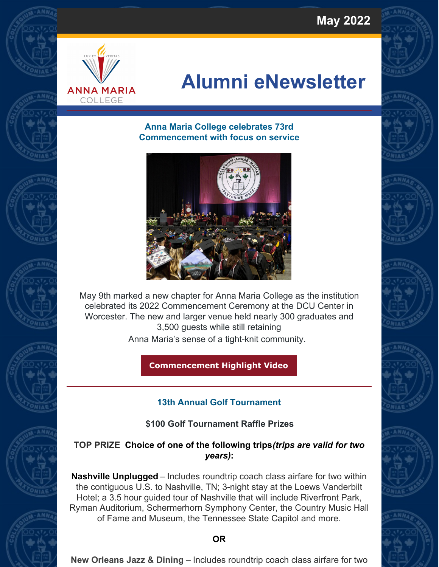**May 2022**



# **Alumni eNewsletter**

#### **Anna Maria College celebrates 73rd Commencement with focus on service**



May 9th marked a new chapter for Anna Maria College as the institution celebrated its 2022 Commencement Ceremony at the DCU Center in Worcester. The new and larger venue held nearly 300 graduates and 3,500 guests while still retaining

Anna Maria's sense of a tight-knit community.

**[Commencement](https://nam11.safelinks.protection.outlook.com/?url=https%3A%2F%2Fyoutu.be%2FVQQDJLCx-go&data=05%7C01%7CSCarreira%40annamaria.edu%7C8818a859cdb54b17462408da3dabf6e3%7Cd55e4d8de7414cc18b2b6240c4b9c09c%7C0%7C0%7C637890106049561921%7CUnknown%7CTWFpbGZsb3d8eyJWIjoiMC4wLjAwMDAiLCJQIjoiV2luMzIiLCJBTiI6Ik1haWwiLCJXVCI6Mn0%3D%7C3000%7C%7C%7C&sdata=2YNOOnchlZvrBvd4Tx1Fgprm1l8D3j%2BNLj5vG9jEP6o%3D&reserved=0) Highlight Video**

# **13th Annual Golf Tournament**

# **\$100 Golf Tournament Raffle Prizes**

# **TOP PRIZE Choice of one of the following trips***(trips are valid for two years)***:**

**Nashville Unplugged** – Includes roundtrip coach class airfare for two within the contiguous U.S. to Nashville, TN; 3-night stay at the Loews Vanderbilt Hotel; a 3.5 hour guided tour of Nashville that will include Riverfront Park, Ryman Auditorium, Schermerhorn Symphony Center, the Country Music Hall of Fame and Museum, the Tennessee State Capitol and more.

### **OR**

**New Orleans Jazz & Dining** – Includes roundtrip coach class airfare for two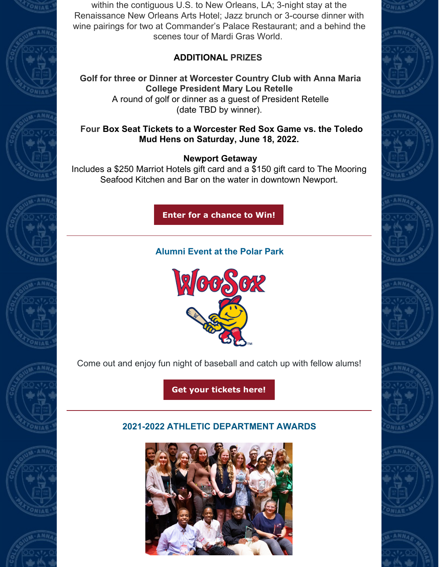













within the contiguous U.S. to New Orleans, LA; 3-night stay at the Renaissance New Orleans Arts Hotel; Jazz brunch or 3-course dinner with wine pairings for two at Commander's Palace Restaurant; and a behind the scenes tour of Mardi Gras World.

# **ADDITIONAL PRIZES**

**Golf for three or Dinner at Worcester Country Club with Anna Maria College President Mary Lou Retelle** A round of golf or dinner as a guest of President Retelle (date TBD by winner).

# **Four Box Seat Tickets to a Worcester Red Sox Game vs. the Toledo Mud Hens on Saturday, June 18, 2022.**

# **Newport Getaway**

Includes a \$250 Marriot Hotels gift card and a \$150 gift card to The Mooring Seafood Kitchen and Bar on the water in downtown Newport.

**Enter for a [chance](https://annamaria.formstack.com/forms/golf_raffle) to Win!**

# **Alumni Event at the Polar Park**



Come out and enjoy fun night of baseball and catch up with fellow alums!

**Get your [tickets](https://annamaria.formstack.com/forms/alumni_woosox) here!**

# **2021-2022 ATHLETIC DEPARTMENT AWARDS**















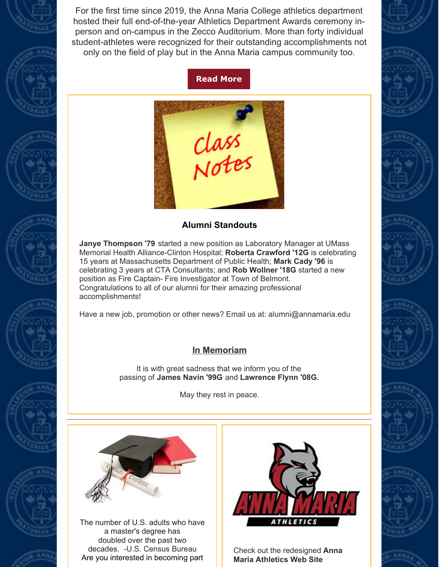

# **[Read](https://express.adobe.com/page/nNqnqI8wJk9N6/) More**



### **Alumni Standouts**

**Janye Thompson '79** started a new position as Laboratory Manager at UMass Memorial Health Alliance-Clinton Hospital; **Roberta Crawford '12G** is celebrating 15 years at Massachusetts Department of Public Health; **Mark Cady '96** is celebrating 3 years at CTA Consultants; and **Rob Wollner '18G** started a new position as Fire Captain- Fire Investigator at Town of Belmont. Congratulations to all of our alumni for their amazing professional accomplishments!

Have a new job, promotion or other news? Email us at: alumni@annamaria.edu

# **In Memoriam**

It is with great sadness that we inform you of the passing of **James Navin '99G** and **Lawrence Flynn '08G.**

May they rest in peace.



The number of U.S. adults who have a master's degree has doubled over the past two decades. -U.S. Census Bureau Are you interested in becoming part



Check out the [redesigned](https://nam11.safelinks.protection.outlook.com/?url=https%3A%2F%2Fgoamcats.com%2Flanding%2Findex&data=04%7C01%7CSCarreira%40annamaria.edu%7C39cd749897cf4e0c63f708d9a076ba30%7Cd55e4d8de7414cc18b2b6240c4b9c09c%7C0%7C0%7C637717254046548725%7CUnknown%7CTWFpbGZsb3d8eyJWIjoiMC4wLjAwMDAiLCJQIjoiV2luMzIiLCJBTiI6Ik1haWwiLCJXVCI6Mn0%3D%7C1000&sdata=R3CMLI6UFk2dSaoXSxvWt9xthAiTojdpTt5UHelakAc%3D&reserved=0) **Anna Maria Athletics Web Site**











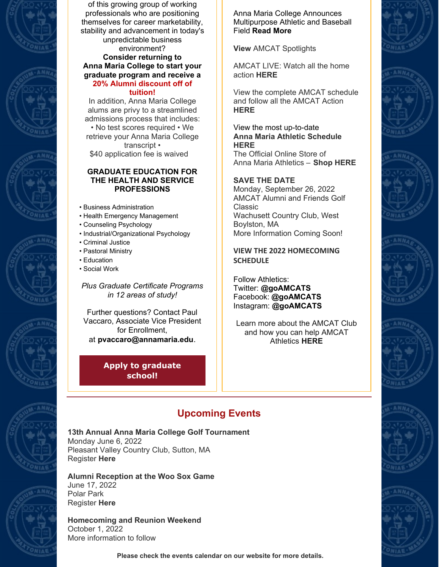









of this growing group of working professionals who are positioning themselves for career marketability, stability and advancement in today's unpredictable business environment? **Consider returning to Anna Maria College to start your graduate program and receive a**

#### **20% Alumni discount off of tuition!**

In addition, Anna Maria College alums are privy to a streamlined admissions process that includes: • No test scores required • We retrieve your Anna Maria College transcript • \$40 application fee is waived

#### **GRADUATE EDUCATION FOR THE HEALTH AND SERVICE PROFESSIONS**

- Business Administration
- Health Emergency Management
- Counseling Psychology
- Industrial/Organizational Psychology
- Criminal Justice
- Pastoral Ministry
- Education
- Social Work

*Plus Graduate Certificate Programs in 12 areas of study!*

Further questions? Contact Paul Vaccaro, Associate Vice President for Enrollment, at **[pvaccaro@annamaria.edu](mailto:pvaccaro@annamaria.edu)**.

> **Apply to [graduate](https://annamaria.edu/admission/graduate-admission/) school!**

Anna Maria College Announces Multipurpose Athletic and Baseball Field **[Read](https://nam11.safelinks.protection.outlook.com/?url=https%3A%2F%2Fannamaria.edu%2Fanna-maria-college-announces-multipurpose-athletic-and-baseball-field%2F&data=04%7C01%7CSCarreira%40annamaria.edu%7C1345e3c7fe3c46c3b3e008da1c88d88e%7Cd55e4d8de7414cc18b2b6240c4b9c09c%7C0%7C0%7C637853671315406085%7CUnknown%7CTWFpbGZsb3d8eyJWIjoiMC4wLjAwMDAiLCJQIjoiV2luMzIiLCJBTiI6Ik1haWwiLCJXVCI6Mn0%3D%7C3000&sdata=O123WoLUNkts30OeiR2YWrNZehJFhVXVRjo5N1TicxE%3D&reserved=0) More**

**[View](https://nam11.safelinks.protection.outlook.com/?url=https%3A%2F%2Fgoamcats.com%2Faotw%2Findex&data=04%7C01%7CSCarreira%40annamaria.edu%7C349170e7daec4999998708d9b4d48703%7Cd55e4d8de7414cc18b2b6240c4b9c09c%7C0%7C0%7C637739647151717281%7CUnknown%7CTWFpbGZsb3d8eyJWIjoiMC4wLjAwMDAiLCJQIjoiV2luMzIiLCJBTiI6Ik1haWwiLCJXVCI6Mn0%3D%7C3000&sdata=QzIHr7kRc7iN%2FF7nLTZnokOQWBt6MG85KqEDjS5KoL8%3D&reserved=0)** AMCAT Spotlights

AMCAT LIVE: Watch all the home action **[HERE](https://nam11.safelinks.protection.outlook.com/?url=https%3A%2F%2Fgoamcats.com%2FAMCATS%2520Live&data=04%7C01%7CSCarreira%40annamaria.edu%7C349170e7daec4999998708d9b4d48703%7Cd55e4d8de7414cc18b2b6240c4b9c09c%7C0%7C0%7C637739647151717281%7CUnknown%7CTWFpbGZsb3d8eyJWIjoiMC4wLjAwMDAiLCJQIjoiV2luMzIiLCJBTiI6Ik1haWwiLCJXVCI6Mn0%3D%7C3000&sdata=%2B1K%2Fy4SDfBDOn%2BmnsnVdsNkksKV86u%2Bjx7Sg5oTLesY%3D&reserved=0)**

View the complete AMCAT schedule and follow all the AMCAT Action **[HERE](https://nam11.safelinks.protection.outlook.com/?url=https%3A%2F%2Fgoamcats.com%2FComposite_Internal&data=04%7C01%7CSCarreira%40annamaria.edu%7C349170e7daec4999998708d9b4d48703%7Cd55e4d8de7414cc18b2b6240c4b9c09c%7C0%7C0%7C637739647151727278%7CUnknown%7CTWFpbGZsb3d8eyJWIjoiMC4wLjAwMDAiLCJQIjoiV2luMzIiLCJBTiI6Ik1haWwiLCJXVCI6Mn0%3D%7C3000&sdata=94oNvju9U0owwHczZEyCcP2Eib%2B8Swwwr7rY9xsMbFg%3D&reserved=0)**

#### View the most up-to-date **Anna Maria Athletic [Schedule](https://nam11.safelinks.protection.outlook.com/?url=https%3A%2F%2Fgoamcats.com%2Fcomposite&data=04%7C01%7CPShaffer%40annamaria.edu%7C34e88cdd955a446ed42c08d9949ba3a5%7Cd55e4d8de7414cc18b2b6240c4b9c09c%7C0%7C0%7C637704218458246275%7CUnknown%7CTWFpbGZsb3d8eyJWIjoiMC4wLjAwMDAiLCJQIjoiV2luMzIiLCJBTiI6Ik1haWwiLCJXVCI6Mn0%3D%7C1000&sdata=TKB5oizMMyJXu4%2Bv0V2%2FQ2GVP4N%2BkV3WFXwR70OpSA0%3D&reserved=0) [HERE](https://nam11.safelinks.protection.outlook.com/?url=https%3A%2F%2Fgoamcats.com%2Fcomposite&data=04%7C01%7CPShaffer%40annamaria.edu%7C34e88cdd955a446ed42c08d9949ba3a5%7Cd55e4d8de7414cc18b2b6240c4b9c09c%7C0%7C0%7C637704218458246275%7CUnknown%7CTWFpbGZsb3d8eyJWIjoiMC4wLjAwMDAiLCJQIjoiV2luMzIiLCJBTiI6Ik1haWwiLCJXVCI6Mn0%3D%7C1000&sdata=TKB5oizMMyJXu4%2Bv0V2%2FQ2GVP4N%2BkV3WFXwR70OpSA0%3D&reserved=0)**

The Official Online Store of Anna Maria Athletics – **Shop [HERE](https://nam11.safelinks.protection.outlook.com/?url=https%3A%2F%2Fannamariagear.merchorders.com%2F&data=04%7C01%7CPShaffer%40annamaria.edu%7C34e88cdd955a446ed42c08d9949ba3a5%7Cd55e4d8de7414cc18b2b6240c4b9c09c%7C0%7C0%7C637704218458256230%7CUnknown%7CTWFpbGZsb3d8eyJWIjoiMC4wLjAwMDAiLCJQIjoiV2luMzIiLCJBTiI6Ik1haWwiLCJXVCI6Mn0%3D%7C1000&sdata=WomXMUSAU8QHUymX%2BwejD2in2A0x1jE%2BZz1vREcP8S4%3D&reserved=0)**

#### **SAVE THE DATE**

Monday, September 26, 2022 AMCAT Alumni and Friends Golf Classic Wachusett Country Club, West Boylston, MA More Information Coming Soon!

**VIEW THE 2022 [HOMECOMING](https://nam11.safelinks.protection.outlook.com/?url=https%3A%2F%2Fgoamcats.com%2FAlumni%2F2022_Homecoming&data=05%7C01%7CSCarreira%40annamaria.edu%7Cf7132f7e221a4ae52bf008da3808d34f%7Cd55e4d8de7414cc18b2b6240c4b9c09c%7C0%7C0%7C637883907876712307%7CUnknown%7CTWFpbGZsb3d8eyJWIjoiMC4wLjAwMDAiLCJQIjoiV2luMzIiLCJBTiI6Ik1haWwiLCJXVCI6Mn0%3D%7C3000%7C%7C%7C&sdata=J0vIIifBymXP1n3Gi6mWSa4gBn4AAfMYjnkehYLxZwc%3D&reserved=0) SCHEDULE**

Follow Athletics: Twitter: **[@goAMCATS](https://nam11.safelinks.protection.outlook.com/?url=https%3A%2F%2Ftwitter.com%2FgoAMCATS&data=04%7C01%7CPShaffer%40annamaria.edu%7C34e88cdd955a446ed42c08d9949ba3a5%7Cd55e4d8de7414cc18b2b6240c4b9c09c%7C0%7C0%7C637704218458256230%7CUnknown%7CTWFpbGZsb3d8eyJWIjoiMC4wLjAwMDAiLCJQIjoiV2luMzIiLCJBTiI6Ik1haWwiLCJXVCI6Mn0%3D%7C1000&sdata=R5x8kue79FBxIiSRlS7TcadGvu%2BC09vjVAAE8FuylK4%3D&reserved=0)** Facebook: **[@goAMCATS](https://nam11.safelinks.protection.outlook.com/?url=https%3A%2F%2Fwww.facebook.com%2Fgoamcats%2F&data=04%7C01%7CPShaffer%40annamaria.edu%7C34e88cdd955a446ed42c08d9949ba3a5%7Cd55e4d8de7414cc18b2b6240c4b9c09c%7C0%7C0%7C637704218458266188%7CUnknown%7CTWFpbGZsb3d8eyJWIjoiMC4wLjAwMDAiLCJQIjoiV2luMzIiLCJBTiI6Ik1haWwiLCJXVCI6Mn0%3D%7C1000&sdata=XvT21743CaZMMc2W2QSO1FYnxQe6q2fJsw58BrDSUQQ%3D&reserved=0)** Instagram: **[@goAMCATS](https://nam11.safelinks.protection.outlook.com/?url=https%3A%2F%2Fwww.instagram.com%2Fgoamcats%2F&data=04%7C01%7CPShaffer%40annamaria.edu%7C34e88cdd955a446ed42c08d9949ba3a5%7Cd55e4d8de7414cc18b2b6240c4b9c09c%7C0%7C0%7C637704218458266188%7CUnknown%7CTWFpbGZsb3d8eyJWIjoiMC4wLjAwMDAiLCJQIjoiV2luMzIiLCJBTiI6Ik1haWwiLCJXVCI6Mn0%3D%7C1000&sdata=VcVSdi%2F4l96BT4OSyC96T0XeXk5hZkXPGwlt2HPlP1c%3D&reserved=0)**

Learn more about the AMCAT Club and how you can help AMCAT Athletics **[HERE](https://nam11.safelinks.protection.outlook.com/?url=https%3A%2F%2Flinkprotect.cudasvc.com%2Furl%3Fa%3Dhttps%253a%252f%252fgoamcats.com%252fAMCAT_Club_Info%26c%3DE%2C1%2CWQvxoDRilZe_vHvNdRRazNbRRDR5be5X6_DT8Yhe1iv6Iktzy5SWLSt6oQ0RJeMKMEZCbebaDFobBbqwzGj5s3UPYygtEiust16-b_cW%26typo%3D1&data=04%7C01%7CPShaffer%40annamaria.edu%7C34e88cdd955a446ed42c08d9949ba3a5%7Cd55e4d8de7414cc18b2b6240c4b9c09c%7C0%7C0%7C637704218458276142%7CUnknown%7CTWFpbGZsb3d8eyJWIjoiMC4wLjAwMDAiLCJQIjoiV2luMzIiLCJBTiI6Ik1haWwiLCJXVCI6Mn0%3D%7C1000&sdata=a6XSyHY9wom%2BWMyMnkCoE89NGdAGQs9A1ggzuK8q%2FHM%3D&reserved=0)**









# **Upcoming Events**

# **13th Annual Anna Maria College Golf Tournament**

Monday June 6, 2022 Pleasant Valley Country Club, Sutton, MA Register **[Here](https://annamaria.formstack.com/forms/golf_tournament_2022)**

# **Alumni Reception at the Woo Sox Game** June 17, 2022

Polar Park Register **[Here](https://annamaria.formstack.com/forms/alumni_woosox)**

#### **Homecoming and Reunion Weekend** October 1, 2022 More information to follow

**Please check the events calendar on our website for more details.**